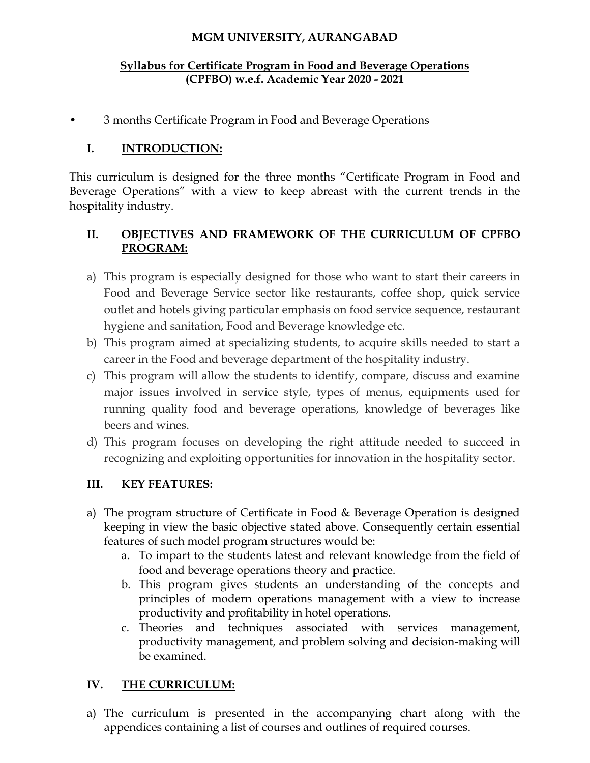# **MGM UNIVERSITY, AURANGABAD**

#### **Syllabus for Certificate Program in Food and Beverage Operations (CPFBO) w.e.f. Academic Year 2020 - 2021**

• 3 months Certificate Program in Food and Beverage Operations

# **I. INTRODUCTION:**

This curriculum is designed for the three months "Certificate Program in Food and Beverage Operations" with a view to keep abreast with the current trends in the hospitality industry.

## **II. OBJECTIVES AND FRAMEWORK OF THE CURRICULUM OF CPFBO PROGRAM:**

- a) This program is especially designed for those who want to start their careers in Food and Beverage Service sector like restaurants, coffee shop, quick service outlet and hotels giving particular emphasis on food service sequence, restaurant hygiene and sanitation, Food and Beverage knowledge etc.
- b) This program aimed at specializing students, to acquire skills needed to start a career in the Food and beverage department of the hospitality industry.
- c) This program will allow the students to identify, compare, discuss and examine major issues involved in service style, types of menus, equipments used for running quality food and beverage operations, knowledge of beverages like beers and wines.
- d) This program focuses on developing the right attitude needed to succeed in recognizing and exploiting opportunities for innovation in the hospitality sector.

# **III. KEY FEATURES:**

- a) The program structure of Certificate in Food & Beverage Operation is designed keeping in view the basic objective stated above. Consequently certain essential features of such model program structures would be:
	- a. To impart to the students latest and relevant knowledge from the field of food and beverage operations theory and practice.
	- b. This program gives students an understanding of the concepts and principles of modern operations management with a view to increase productivity and profitability in hotel operations.
	- c. Theories and techniques associated with services management, productivity management, and problem solving and decision-making will be examined.

# **IV. THE CURRICULUM:**

a) The curriculum is presented in the accompanying chart along with the appendices containing a list of courses and outlines of required courses.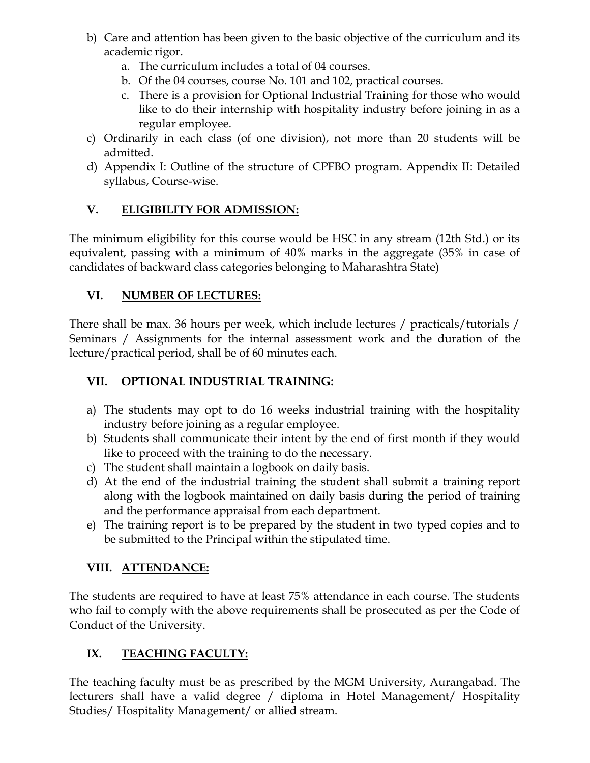- b) Care and attention has been given to the basic objective of the curriculum and its academic rigor.
	- a. The curriculum includes a total of 04 courses.
	- b. Of the 04 courses, course No. 101 and 102, practical courses.
	- c. There is a provision for Optional Industrial Training for those who would like to do their internship with hospitality industry before joining in as a regular employee.
- c) Ordinarily in each class (of one division), not more than 20 students will be admitted.
- d) Appendix I: Outline of the structure of CPFBO program. Appendix II: Detailed syllabus, Course-wise.

# **V. ELIGIBILITY FOR ADMISSION:**

The minimum eligibility for this course would be HSC in any stream (12th Std.) or its equivalent, passing with a minimum of 40% marks in the aggregate (35% in case of candidates of backward class categories belonging to Maharashtra State)

# **VI. NUMBER OF LECTURES:**

There shall be max. 36 hours per week, which include lectures / practicals/tutorials / Seminars / Assignments for the internal assessment work and the duration of the lecture/practical period, shall be of 60 minutes each.

# **VII. OPTIONAL INDUSTRIAL TRAINING:**

- a) The students may opt to do 16 weeks industrial training with the hospitality industry before joining as a regular employee.
- b) Students shall communicate their intent by the end of first month if they would like to proceed with the training to do the necessary.
- c) The student shall maintain a logbook on daily basis.
- d) At the end of the industrial training the student shall submit a training report along with the logbook maintained on daily basis during the period of training and the performance appraisal from each department.
- e) The training report is to be prepared by the student in two typed copies and to be submitted to the Principal within the stipulated time.

# **VIII. ATTENDANCE:**

The students are required to have at least 75% attendance in each course. The students who fail to comply with the above requirements shall be prosecuted as per the Code of Conduct of the University.

# **IX. TEACHING FACULTY:**

The teaching faculty must be as prescribed by the MGM University, Aurangabad. The lecturers shall have a valid degree / diploma in Hotel Management/ Hospitality Studies/ Hospitality Management/ or allied stream.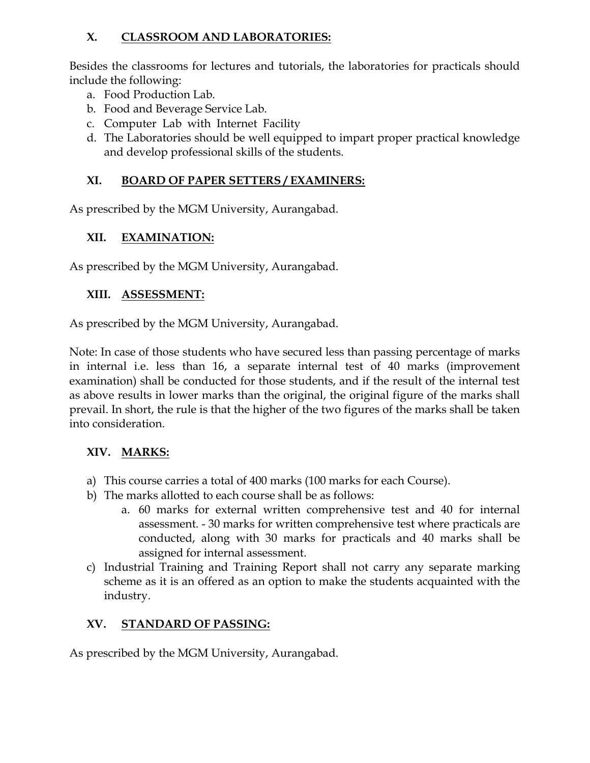# **X. CLASSROOM AND LABORATORIES:**

Besides the classrooms for lectures and tutorials, the laboratories for practicals should include the following:

- a. Food Production Lab.
- b. Food and Beverage Service Lab.
- c. Computer Lab with Internet Facility
- d. The Laboratories should be well equipped to impart proper practical knowledge and develop professional skills of the students.

# **XI. BOARD OF PAPER SETTERS / EXAMINERS:**

As prescribed by the MGM University, Aurangabad.

# **XII. EXAMINATION:**

As prescribed by the MGM University, Aurangabad.

# **XIII. ASSESSMENT:**

As prescribed by the MGM University, Aurangabad.

Note: In case of those students who have secured less than passing percentage of marks in internal i.e. less than 16, a separate internal test of 40 marks (improvement examination) shall be conducted for those students, and if the result of the internal test as above results in lower marks than the original, the original figure of the marks shall prevail. In short, the rule is that the higher of the two figures of the marks shall be taken into consideration.

# **XIV. MARKS:**

- a) This course carries a total of 400 marks (100 marks for each Course).
- b) The marks allotted to each course shall be as follows:
	- a. 60 marks for external written comprehensive test and 40 for internal assessment. - 30 marks for written comprehensive test where practicals are conducted, along with 30 marks for practicals and 40 marks shall be assigned for internal assessment.
- c) Industrial Training and Training Report shall not carry any separate marking scheme as it is an offered as an option to make the students acquainted with the industry.

# **XV. STANDARD OF PASSING:**

As prescribed by the MGM University, Aurangabad.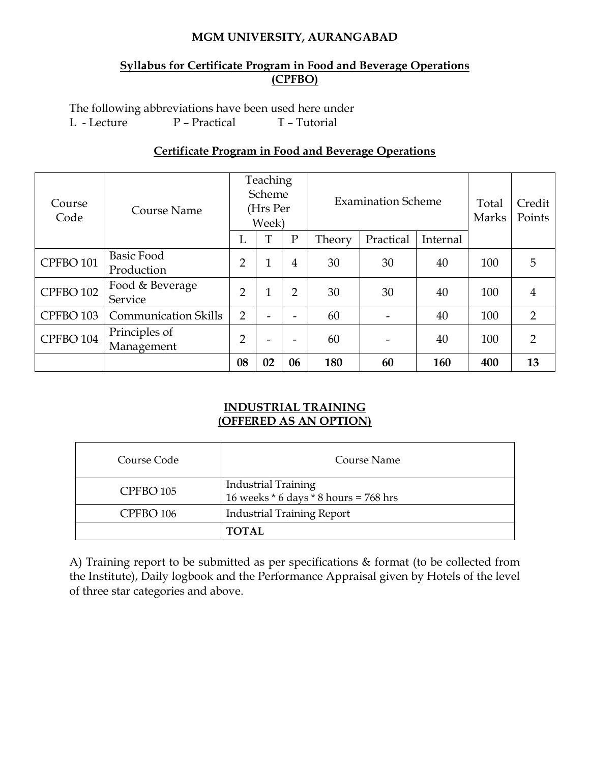#### **MGM UNIVERSITY, AURANGABAD**

#### **Syllabus for Certificate Program in Food and Beverage Operations (CPFBO)**

The following abbreviations have been used here under L - Lecture P – Practical T – Tutorial

#### **Certificate Program in Food and Beverage Operations**

| Course<br>Code       | Course Name                     | Teaching<br>Scheme<br>(Hrs Per<br>Week) |    |                | <b>Examination Scheme</b> |           |          | Total<br>Marks | Credit<br>Points |
|----------------------|---------------------------------|-----------------------------------------|----|----------------|---------------------------|-----------|----------|----------------|------------------|
|                      |                                 | L                                       | T  | $\mathbf{P}$   | Theory                    | Practical | Internal |                |                  |
| CPFBO <sub>101</sub> | <b>Basic Food</b><br>Production | $\overline{2}$                          | 1  | 4              | 30                        | 30        | 40       | 100            | 5                |
| CPFBO <sub>102</sub> | Food & Beverage<br>Service      | $\overline{2}$                          | 1  | $\overline{2}$ | 30                        | 30        | 40       | 100            | 4                |
| CPFBO <sub>103</sub> | <b>Communication Skills</b>     | $\overline{2}$                          |    | -              | 60                        |           | 40       | 100            | 2                |
| CPFBO <sub>104</sub> | Principles of<br>Management     | $\overline{2}$                          |    |                | 60                        |           | 40       | 100            | $\overline{2}$   |
|                      |                                 | 08                                      | 02 | 06             | 180                       | 60        | 160      | 400            | 13               |

#### **INDUSTRIAL TRAINING (OFFERED AS AN OPTION)**

| Course Code          | Course Name                                                             |
|----------------------|-------------------------------------------------------------------------|
| CPFBO <sub>105</sub> | <b>Industrial Training</b><br>16 weeks $*$ 6 days $*$ 8 hours = 768 hrs |
| CPFBO <sub>106</sub> | <b>Industrial Training Report</b>                                       |
|                      | <b>TOTAL</b>                                                            |

A) Training report to be submitted as per specifications & format (to be collected from the Institute), Daily logbook and the Performance Appraisal given by Hotels of the level of three star categories and above.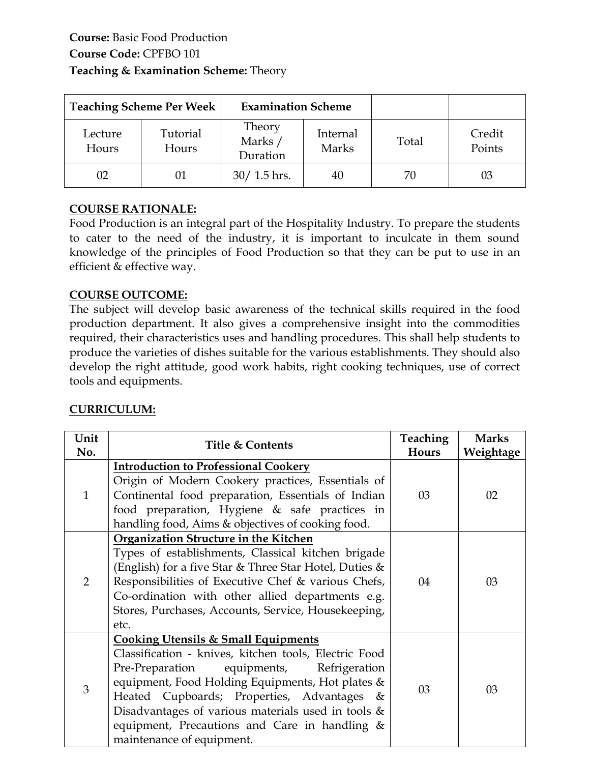|                  | <b>Teaching Scheme Per Week</b> | <b>Examination Scheme</b>     |                   |       |                  |
|------------------|---------------------------------|-------------------------------|-------------------|-------|------------------|
| Lecture<br>Hours | Tutorial<br>Hours               | Theory<br>Marks /<br>Duration | Internal<br>Marks | Total | Credit<br>Points |
| 02               | 01                              | $30/1.5$ hrs.                 | 40                | 70    | 03               |

Food Production is an integral part of the Hospitality Industry. To prepare the students to cater to the need of the industry, it is important to inculcate in them sound knowledge of the principles of Food Production so that they can be put to use in an efficient & effective way.

#### **COURSE OUTCOME:**

The subject will develop basic awareness of the technical skills required in the food production department. It also gives a comprehensive insight into the commodities required, their characteristics uses and handling procedures. This shall help students to produce the varieties of dishes suitable for the various establishments. They should also develop the right attitude, good work habits, right cooking techniques, use of correct tools and equipments.

| Unit<br>No.    | <b>Title &amp; Contents</b>                                                                                                                                                                                                                                                                                                                                                                         | <b>Teaching</b><br>Hours | <b>Marks</b><br>Weightage |
|----------------|-----------------------------------------------------------------------------------------------------------------------------------------------------------------------------------------------------------------------------------------------------------------------------------------------------------------------------------------------------------------------------------------------------|--------------------------|---------------------------|
| $\mathbf{1}$   | <b>Introduction to Professional Cookery</b><br>Origin of Modern Cookery practices, Essentials of<br>Continental food preparation, Essentials of Indian<br>food preparation, Hygiene & safe practices in<br>handling food, Aims & objectives of cooking food.                                                                                                                                        | 03                       | 02                        |
| $\overline{2}$ | Organization Structure in the Kitchen<br>Types of establishments, Classical kitchen brigade<br>(English) for a five Star & Three Star Hotel, Duties &<br>Responsibilities of Executive Chef & various Chefs,<br>Co-ordination with other allied departments e.g.<br>Stores, Purchases, Accounts, Service, Housekeeping,<br>etc.                                                                     | 04                       | 03                        |
| 3              | <b>Cooking Utensils &amp; Small Equipments</b><br>Classification - knives, kitchen tools, Electric Food<br>Pre-Preparation<br>equipments, Refrigeration<br>equipment, Food Holding Equipments, Hot plates &<br>Heated Cupboards; Properties, Advantages &<br>Disadvantages of various materials used in tools $\&$<br>equipment, Precautions and Care in handling $\&$<br>maintenance of equipment. | 03                       | 03                        |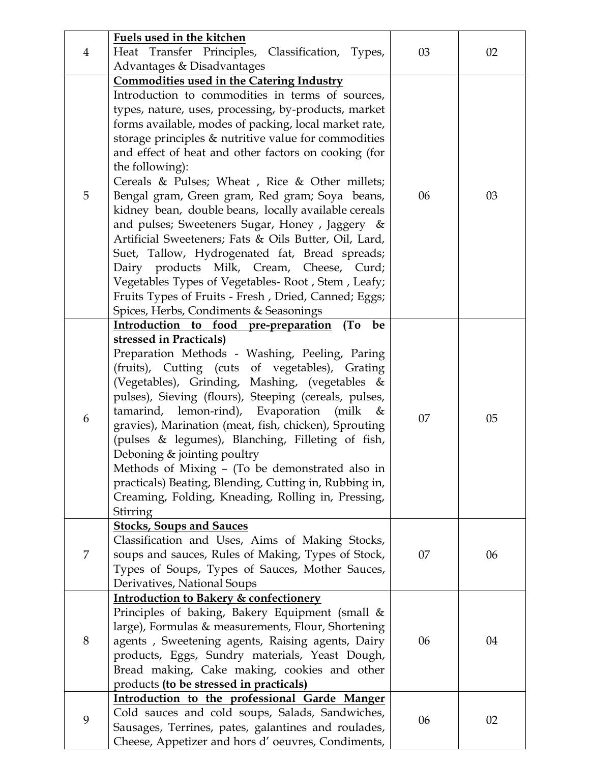| 4 | Fuels used in the kitchen<br>Heat Transfer Principles, Classification, Types,                                                                                                                                                                                                                                                                                                                                                                                                                                                                                                                                                                                                                                                                                                             | 03 | 02 |
|---|-------------------------------------------------------------------------------------------------------------------------------------------------------------------------------------------------------------------------------------------------------------------------------------------------------------------------------------------------------------------------------------------------------------------------------------------------------------------------------------------------------------------------------------------------------------------------------------------------------------------------------------------------------------------------------------------------------------------------------------------------------------------------------------------|----|----|
|   | Advantages & Disadvantages                                                                                                                                                                                                                                                                                                                                                                                                                                                                                                                                                                                                                                                                                                                                                                |    |    |
|   | <b>Commodities used in the Catering Industry</b>                                                                                                                                                                                                                                                                                                                                                                                                                                                                                                                                                                                                                                                                                                                                          |    |    |
| 5 | Introduction to commodities in terms of sources,<br>types, nature, uses, processing, by-products, market<br>forms available, modes of packing, local market rate,<br>storage principles $&$ nutritive value for commodities<br>and effect of heat and other factors on cooking (for<br>the following):<br>Cereals & Pulses; Wheat, Rice & Other millets;<br>Bengal gram, Green gram, Red gram; Soya beans,<br>kidney bean, double beans, locally available cereals<br>and pulses; Sweeteners Sugar, Honey, Jaggery &<br>Artificial Sweeteners; Fats & Oils Butter, Oil, Lard,<br>Suet, Tallow, Hydrogenated fat, Bread spreads;<br>Dairy products Milk, Cream, Cheese, Curd;<br>Vegetables Types of Vegetables-Root, Stem, Leafy;<br>Fruits Types of Fruits - Fresh, Dried, Canned; Eggs; | 06 | 03 |
|   | Spices, Herbs, Condiments & Seasonings                                                                                                                                                                                                                                                                                                                                                                                                                                                                                                                                                                                                                                                                                                                                                    |    |    |
| 6 | Introduction to food pre-preparation<br>(T <sub>0</sub> )<br>be<br>stressed in Practicals)<br>Preparation Methods - Washing, Peeling, Paring<br>(fruits), Cutting (cuts of vegetables), Grating<br>(Vegetables), Grinding, Mashing, (vegetables &<br>pulses), Sieving (flours), Steeping (cereals, pulses,<br>tamarind, lemon-rind), Evaporation<br>(milk)<br>&<br>gravies), Marination (meat, fish, chicken), Sprouting<br>(pulses & legumes), Blanching, Filleting of fish,<br>Deboning & jointing poultry<br>Methods of Mixing - (To be demonstrated also in<br>practicals) Beating, Blending, Cutting in, Rubbing in,<br>Creaming, Folding, Kneading, Rolling in, Pressing,<br>Stirring                                                                                               | 07 | 05 |
| 7 | <b>Stocks, Soups and Sauces</b><br>Classification and Uses, Aims of Making Stocks,<br>soups and sauces, Rules of Making, Types of Stock,<br>Types of Soups, Types of Sauces, Mother Sauces,<br>Derivatives, National Soups                                                                                                                                                                                                                                                                                                                                                                                                                                                                                                                                                                | 07 | 06 |
| 8 | <b>Introduction to Bakery &amp; confectionery</b><br>Principles of baking, Bakery Equipment (small &<br>large), Formulas & measurements, Flour, Shortening<br>agents, Sweetening agents, Raising agents, Dairy<br>products, Eggs, Sundry materials, Yeast Dough,<br>Bread making, Cake making, cookies and other<br>products (to be stressed in practicals)                                                                                                                                                                                                                                                                                                                                                                                                                               | 06 | 04 |
| 9 | Introduction to the professional Garde Manger<br>Cold sauces and cold soups, Salads, Sandwiches,<br>Sausages, Terrines, pates, galantines and roulades,<br>Cheese, Appetizer and hors d'oeuvres, Condiments,                                                                                                                                                                                                                                                                                                                                                                                                                                                                                                                                                                              | 06 | 02 |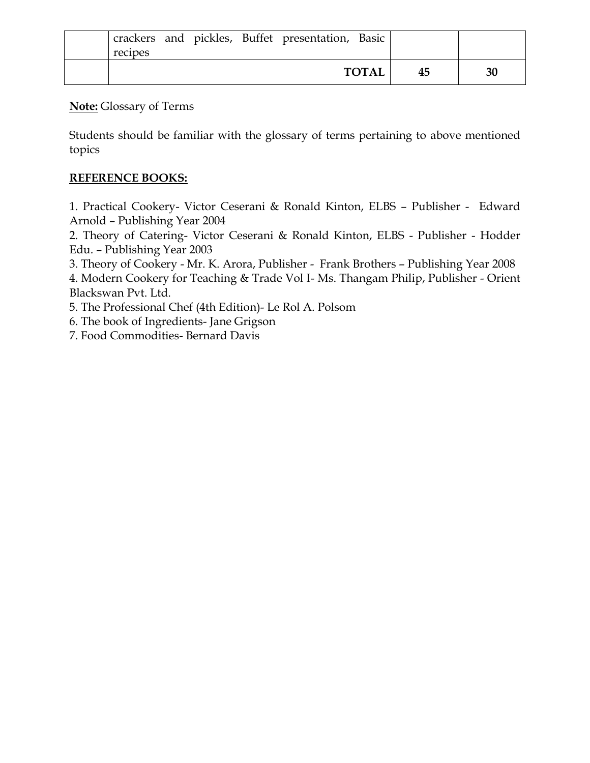| recipes |  | crackers and pickles, Buffet presentation, Basic |              |    |    |
|---------|--|--------------------------------------------------|--------------|----|----|
|         |  |                                                  | <b>TOTAL</b> | 45 | 30 |

Students should be familiar with the glossary of terms pertaining to above mentioned topics

## **REFERENCE BOOKS:**

1. Practical Cookery- Victor Ceserani & Ronald Kinton, ELBS – Publisher - Edward Arnold – Publishing Year 2004

2. Theory of Catering- Victor Ceserani & Ronald Kinton, ELBS - Publisher - Hodder Edu. – Publishing Year 2003

3. Theory of Cookery - Mr. K. Arora, Publisher - Frank Brothers – Publishing Year 2008

4. Modern Cookery for Teaching & Trade Vol I- Ms. Thangam Philip, Publisher - Orient Blackswan Pvt. Ltd.

5. The Professional Chef (4th Edition)- Le Rol A. Polsom

6. The book of Ingredients- Jane Grigson

7. Food Commodities- Bernard Davis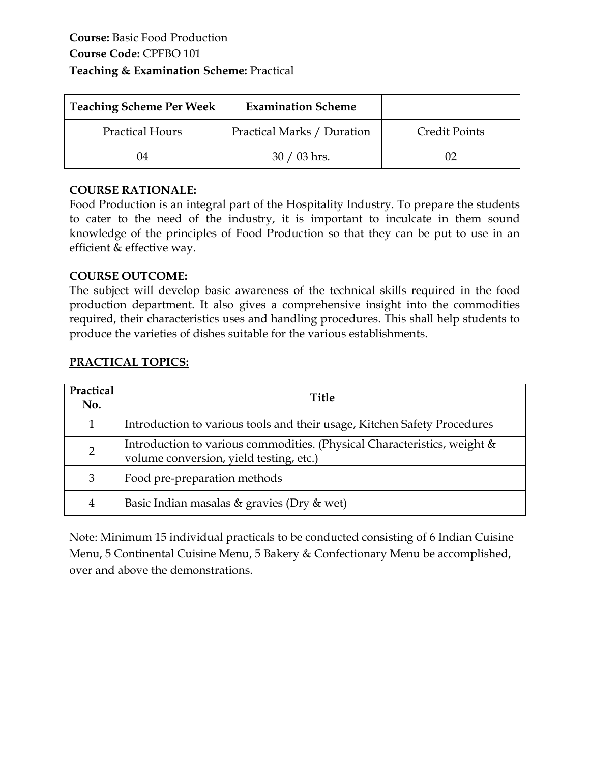| <b>Teaching Scheme Per Week</b> | <b>Examination Scheme</b>  |                      |
|---------------------------------|----------------------------|----------------------|
| <b>Practical Hours</b>          | Practical Marks / Duration | <b>Credit Points</b> |
| 04                              | $30/03$ hrs.               |                      |

Food Production is an integral part of the Hospitality Industry. To prepare the students to cater to the need of the industry, it is important to inculcate in them sound knowledge of the principles of Food Production so that they can be put to use in an efficient & effective way.

#### **COURSE OUTCOME:**

The subject will develop basic awareness of the technical skills required in the food production department. It also gives a comprehensive insight into the commodities required, their characteristics uses and handling procedures. This shall help students to produce the varieties of dishes suitable for the various establishments.

#### **PRACTICAL TOPICS:**

| Practical<br>No. | <b>Title</b>                                                                                                        |
|------------------|---------------------------------------------------------------------------------------------------------------------|
| $\mathbf{1}$     | Introduction to various tools and their usage, Kitchen Safety Procedures                                            |
| $\overline{2}$   | Introduction to various commodities. (Physical Characteristics, weight &<br>volume conversion, yield testing, etc.) |
| 3                | Food pre-preparation methods                                                                                        |
| 4                | Basic Indian masalas $\&$ gravies (Dry $\&$ wet)                                                                    |

Note: Minimum 15 individual practicals to be conducted consisting of 6 Indian Cuisine Menu, 5 Continental Cuisine Menu, 5 Bakery & Confectionary Menu be accomplished, over and above the demonstrations.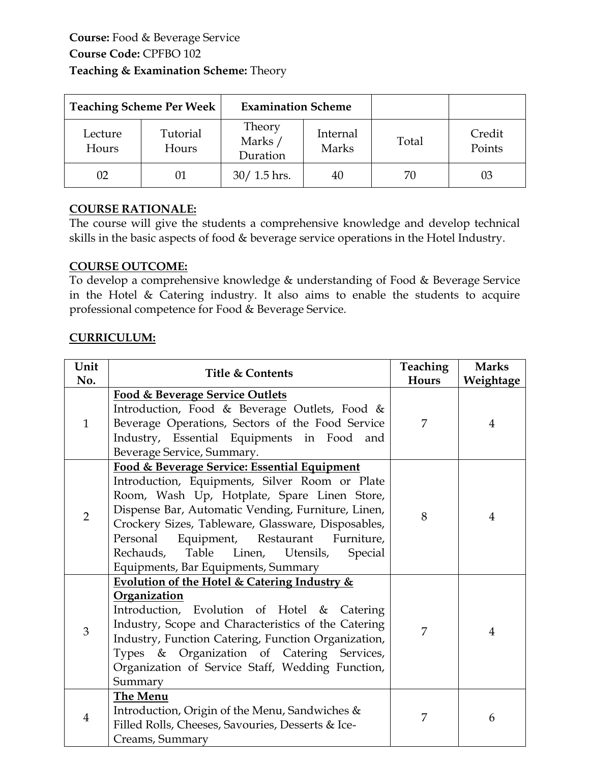|                  | <b>Teaching Scheme Per Week</b> | <b>Examination Scheme</b>     |                   |       |                  |
|------------------|---------------------------------|-------------------------------|-------------------|-------|------------------|
| Lecture<br>Hours | Tutorial<br>Hours               | Theory<br>Marks /<br>Duration | Internal<br>Marks | Total | Credit<br>Points |
| 02               | 01                              | $30/1.5$ hrs.                 | 40                | 70    | 03               |

The course will give the students a comprehensive knowledge and develop technical skills in the basic aspects of food & beverage service operations in the Hotel Industry.

#### **COURSE OUTCOME:**

To develop a comprehensive knowledge & understanding of Food & Beverage Service in the Hotel & Catering industry. It also aims to enable the students to acquire professional competence for Food & Beverage Service.

| Unit<br>No.    | <b>Title &amp; Contents</b>                                                                                                                                                                                                                                                                                                                                                                        | Teaching<br>Hours | <b>Marks</b><br>Weightage |
|----------------|----------------------------------------------------------------------------------------------------------------------------------------------------------------------------------------------------------------------------------------------------------------------------------------------------------------------------------------------------------------------------------------------------|-------------------|---------------------------|
| $\mathbf{1}$   | <b>Food &amp; Beverage Service Outlets</b><br>Introduction, Food & Beverage Outlets, Food &<br>Beverage Operations, Sectors of the Food Service<br>Industry, Essential Equipments in Food and<br>Beverage Service, Summary.                                                                                                                                                                        | 7                 | 4                         |
| $\overline{2}$ | Food & Beverage Service: Essential Equipment<br>Introduction, Equipments, Silver Room or Plate<br>Room, Wash Up, Hotplate, Spare Linen Store,<br>Dispense Bar, Automatic Vending, Furniture, Linen,<br>Crockery Sizes, Tableware, Glassware, Disposables,<br>Personal Equipment, Restaurant Furniture,<br>Table<br>Rechauds,<br>Linen, Utensils,<br>Special<br>Equipments, Bar Equipments, Summary | 8                 | $\overline{4}$            |
| 3              | Evolution of the Hotel & Catering Industry &<br>Organization<br>Introduction, Evolution of Hotel & Catering<br>Industry, Scope and Characteristics of the Catering<br>Industry, Function Catering, Function Organization,<br>Types & Organization of Catering Services,<br>Organization of Service Staff, Wedding Function,<br>Summary                                                             | 7                 | $\overline{4}$            |
| $\overline{4}$ | The Menu<br>Introduction, Origin of the Menu, Sandwiches &<br>Filled Rolls, Cheeses, Savouries, Desserts & Ice-<br>Creams, Summary                                                                                                                                                                                                                                                                 | 7                 | 6                         |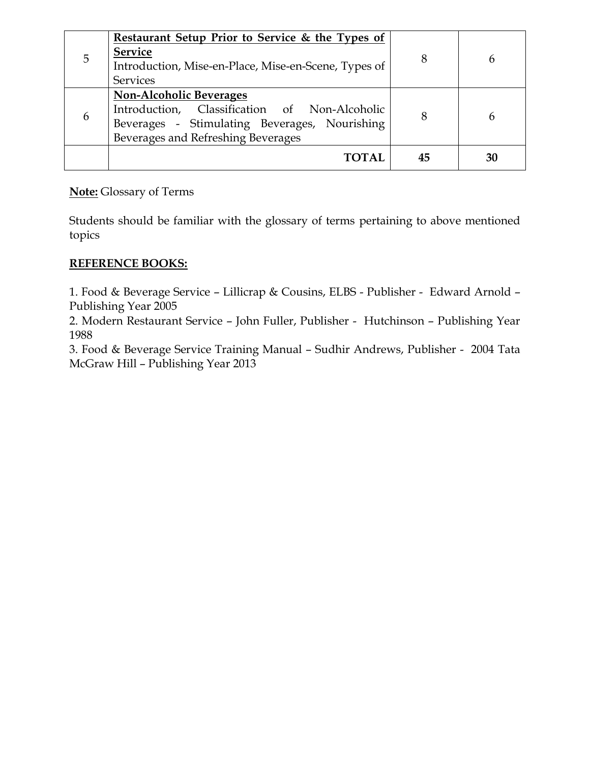|   | <b>Restaurant Setup Prior to Service &amp; the Types of</b> |    |  |
|---|-------------------------------------------------------------|----|--|
| 5 | <b>Service</b>                                              |    |  |
|   | Introduction, Mise-en-Place, Mise-en-Scene, Types of        | 8  |  |
|   | <b>Services</b>                                             |    |  |
|   | <b>Non-Alcoholic Beverages</b>                              |    |  |
|   | Introduction, Classification of Non-Alcoholic               | 8  |  |
| 6 | Beverages - Stimulating Beverages, Nourishing               |    |  |
|   | Beverages and Refreshing Beverages                          |    |  |
|   | TOTAL                                                       | 45 |  |
|   |                                                             |    |  |

Students should be familiar with the glossary of terms pertaining to above mentioned topics

## **REFERENCE BOOKS:**

1. Food & Beverage Service – Lillicrap & Cousins, ELBS - Publisher - Edward Arnold – Publishing Year 2005

2. Modern Restaurant Service – John Fuller, Publisher - Hutchinson – Publishing Year 1988

3. Food & Beverage Service Training Manual – Sudhir Andrews, Publisher - 2004 Tata McGraw Hill – Publishing Year 2013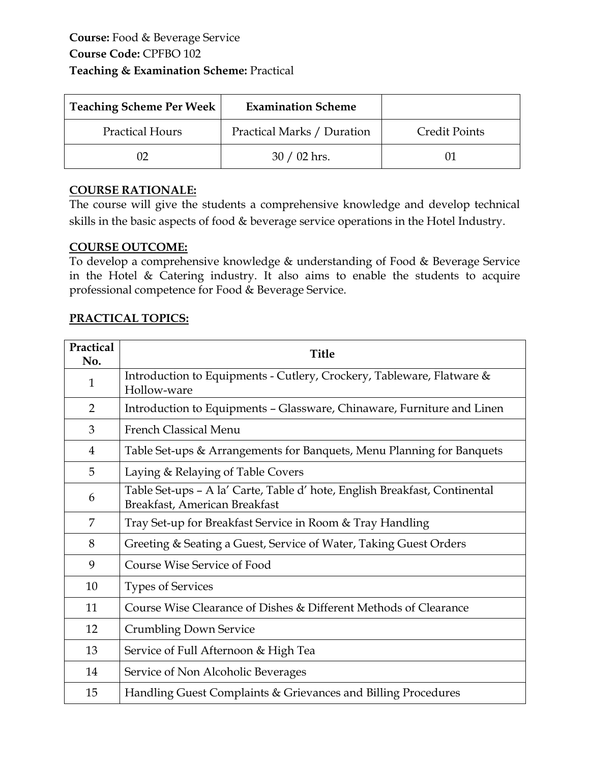| <b>Teaching Scheme Per Week</b> | <b>Examination Scheme</b>  |                      |
|---------------------------------|----------------------------|----------------------|
| <b>Practical Hours</b>          | Practical Marks / Duration | <b>Credit Points</b> |
|                                 | $30/02$ hrs.               |                      |

The course will give the students a comprehensive knowledge and develop technical skills in the basic aspects of food & beverage service operations in the Hotel Industry.

## **COURSE OUTCOME:**

To develop a comprehensive knowledge & understanding of Food & Beverage Service in the Hotel & Catering industry. It also aims to enable the students to acquire professional competence for Food & Beverage Service.

## **PRACTICAL TOPICS:**

| Practical<br>No. | <b>Title</b>                                                                                                |
|------------------|-------------------------------------------------------------------------------------------------------------|
| 1                | Introduction to Equipments - Cutlery, Crockery, Tableware, Flatware &<br>Hollow-ware                        |
| $\overline{2}$   | Introduction to Equipments - Glassware, Chinaware, Furniture and Linen                                      |
| 3                | <b>French Classical Menu</b>                                                                                |
| $\overline{4}$   | Table Set-ups & Arrangements for Banquets, Menu Planning for Banquets                                       |
| 5                | Laying & Relaying of Table Covers                                                                           |
| 6                | Table Set-ups - A la' Carte, Table d' hote, English Breakfast, Continental<br>Breakfast, American Breakfast |
| 7                | Tray Set-up for Breakfast Service in Room & Tray Handling                                                   |
| 8                | Greeting & Seating a Guest, Service of Water, Taking Guest Orders                                           |
| 9                | Course Wise Service of Food                                                                                 |
| 10               | <b>Types of Services</b>                                                                                    |
| 11               | Course Wise Clearance of Dishes & Different Methods of Clearance                                            |
| 12               | <b>Crumbling Down Service</b>                                                                               |
| 13               | Service of Full Afternoon & High Tea                                                                        |
| 14               | Service of Non Alcoholic Beverages                                                                          |
| 15               | Handling Guest Complaints & Grievances and Billing Procedures                                               |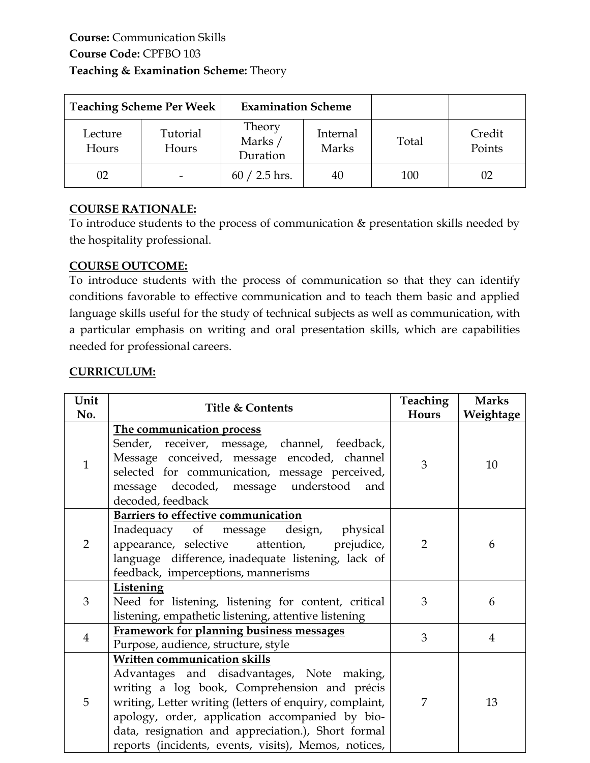| <b>Teaching Scheme Per Week</b> |                   | <b>Examination Scheme</b>     |                   |       |                  |
|---------------------------------|-------------------|-------------------------------|-------------------|-------|------------------|
| Lecture<br>Hours                | Tutorial<br>Hours | Theory<br>Marks /<br>Duration | Internal<br>Marks | Total | Credit<br>Points |
| 02                              |                   | $60 / 2.5$ hrs.               | 40                | 100   | 02               |

To introduce students to the process of communication & presentation skills needed by the hospitality professional.

#### **COURSE OUTCOME:**

To introduce students with the process of communication so that they can identify conditions favorable to effective communication and to teach them basic and applied language skills useful for the study of technical subjects as well as communication, with a particular emphasis on writing and oral presentation skills, which are capabilities needed for professional careers.

| Unit<br>No.    | <b>Title &amp; Contents</b>                                                                                                                                                                                                                                                                                                                            | Teaching<br>Hours | <b>Marks</b><br>Weightage |
|----------------|--------------------------------------------------------------------------------------------------------------------------------------------------------------------------------------------------------------------------------------------------------------------------------------------------------------------------------------------------------|-------------------|---------------------------|
| $\mathbf{1}$   | The communication process<br>Sender, receiver, message, channel, feedback,<br>Message conceived, message encoded, channel<br>selected for communication, message perceived,<br>message decoded, message understood<br>and<br>decoded, feedback                                                                                                         | 3                 | 10                        |
| $\overline{2}$ | Barriers to effective communication<br>Inadequacy of message design, physical<br>appearance, selective attention, prejudice,<br>language difference, inadequate listening, lack of<br>feedback, imperceptions, mannerisms                                                                                                                              | $\overline{2}$    | 6                         |
| 3              | Listening<br>Need for listening, listening for content, critical<br>listening, empathetic listening, attentive listening                                                                                                                                                                                                                               | 3                 | 6                         |
| $\overline{4}$ | <b>Framework for planning business messages</b><br>Purpose, audience, structure, style                                                                                                                                                                                                                                                                 | 3                 | $\overline{4}$            |
| 5              | Written communication skills<br>Advantages and disadvantages, Note making,<br>writing a log book, Comprehension and précis<br>writing, Letter writing (letters of enquiry, complaint,<br>apology, order, application accompanied by bio-<br>data, resignation and appreciation.), Short formal<br>reports (incidents, events, visits), Memos, notices, | 7                 | 13                        |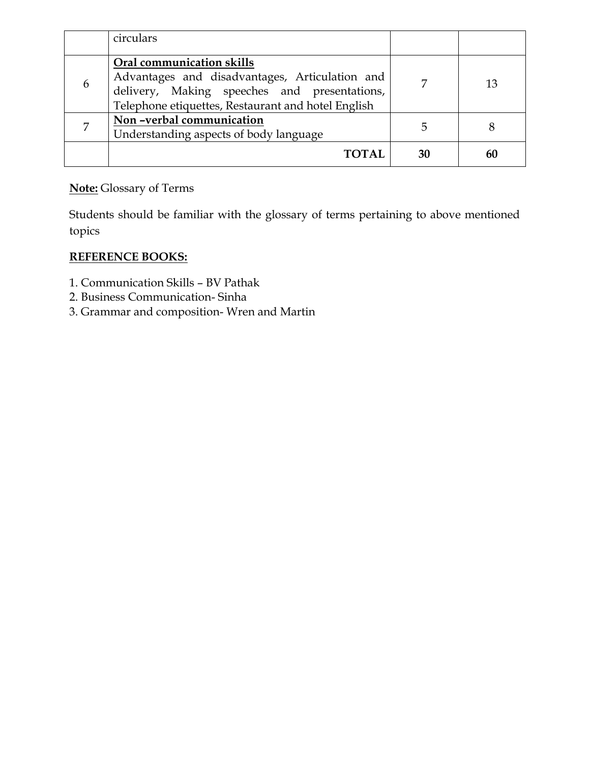|   | circulars                                                                                                                                                                         |    |  |
|---|-----------------------------------------------------------------------------------------------------------------------------------------------------------------------------------|----|--|
| 6 | Oral communication skills<br>Advantages and disadvantages, Articulation and<br>delivery, Making speeches and presentations,<br>Telephone etiquettes, Restaurant and hotel English |    |  |
|   | Non-verbal communication<br>Understanding aspects of body language                                                                                                                | ს  |  |
|   | <b>TOTAL</b>                                                                                                                                                                      | 30 |  |

Students should be familiar with the glossary of terms pertaining to above mentioned topics

# **REFERENCE BOOKS:**

- 1. Communication Skills BV Pathak
- 2. Business Communication- Sinha
- 3. Grammar and composition- Wren and Martin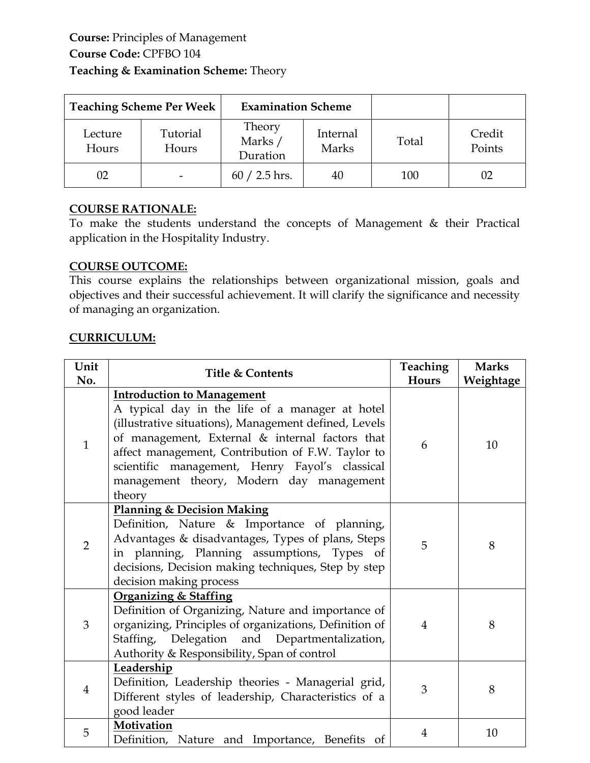| <b>Teaching Scheme Per Week</b> |                   | <b>Examination Scheme</b>     |                   |       |                  |
|---------------------------------|-------------------|-------------------------------|-------------------|-------|------------------|
| Lecture<br>Hours                | Tutorial<br>Hours | Theory<br>Marks /<br>Duration | Internal<br>Marks | Total | Credit<br>Points |
| 02                              |                   | $60 / 2.5$ hrs.               | 40                | 100   | 02               |

To make the students understand the concepts of Management & their Practical application in the Hospitality Industry.

## **COURSE OUTCOME:**

This course explains the relationships between organizational mission, goals and objectives and their successful achievement. It will clarify the significance and necessity of managing an organization.

| Unit<br>No.    | <b>Title &amp; Contents</b>                                                                                                                                                                                                                                                                                                                                   | Teaching<br>Hours | <b>Marks</b><br>Weightage |
|----------------|---------------------------------------------------------------------------------------------------------------------------------------------------------------------------------------------------------------------------------------------------------------------------------------------------------------------------------------------------------------|-------------------|---------------------------|
| $\mathbf{1}$   | <b>Introduction to Management</b><br>A typical day in the life of a manager at hotel<br>(illustrative situations), Management defined, Levels<br>of management, External & internal factors that<br>affect management, Contribution of F.W. Taylor to<br>scientific management, Henry Fayol's classical<br>management theory, Modern day management<br>theory | 6                 | 10                        |
| $\overline{2}$ | <b>Planning &amp; Decision Making</b><br>Definition, Nature & Importance of planning,<br>Advantages & disadvantages, Types of plans, Steps<br>in planning, Planning assumptions, Types of<br>decisions, Decision making techniques, Step by step<br>decision making process                                                                                   | 5                 | 8                         |
| $\overline{3}$ | <b>Organizing &amp; Staffing</b><br>Definition of Organizing, Nature and importance of<br>organizing, Principles of organizations, Definition of<br>Staffing, Delegation and Departmentalization,<br>Authority & Responsibility, Span of control                                                                                                              | $\overline{4}$    | 8                         |
| $\overline{4}$ | Leadership<br>Definition, Leadership theories - Managerial grid,<br>Different styles of leadership, Characteristics of a<br>good leader                                                                                                                                                                                                                       | 3                 | 8                         |
| 5              | Motivation<br>Definition, Nature and Importance, Benefits of                                                                                                                                                                                                                                                                                                  | $\overline{4}$    | 10                        |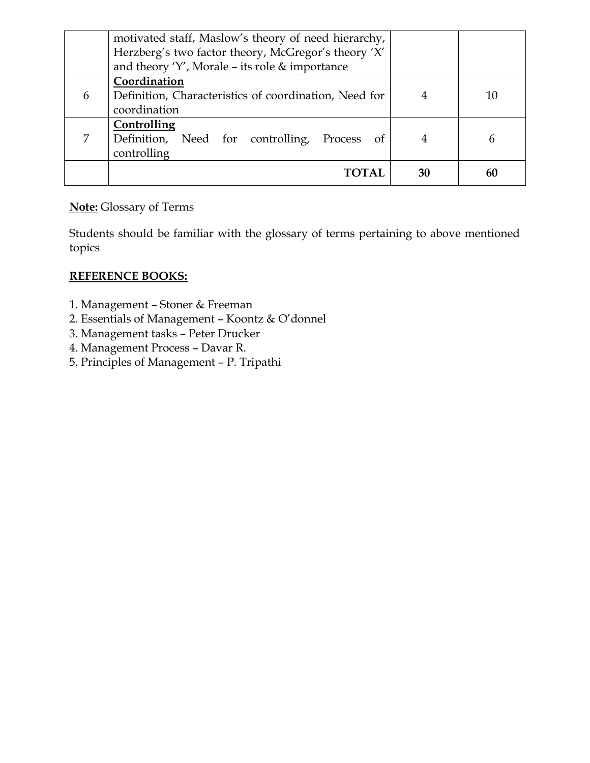|   | motivated staff, Maslow's theory of need hierarchy,<br>Herzberg's two factor theory, McGregor's theory 'X'<br>and theory 'Y', Morale - its role $\&$ importance |    |    |
|---|-----------------------------------------------------------------------------------------------------------------------------------------------------------------|----|----|
| 6 | Coordination<br>Definition, Characteristics of coordination, Need for<br>coordination                                                                           |    | 10 |
|   | Controlling<br>Definition, Need for controlling, Process of<br>controlling                                                                                      | 4  | n  |
|   |                                                                                                                                                                 | 30 |    |

Students should be familiar with the glossary of terms pertaining to above mentioned topics

#### **REFERENCE BOOKS:**

- 1. Management Stoner & Freeman
- 2. Essentials of Management Koontz & O'donnel
- 3. Management tasks Peter Drucker
- 4. Management Process Davar R.
- 5. Principles of Management P. Tripathi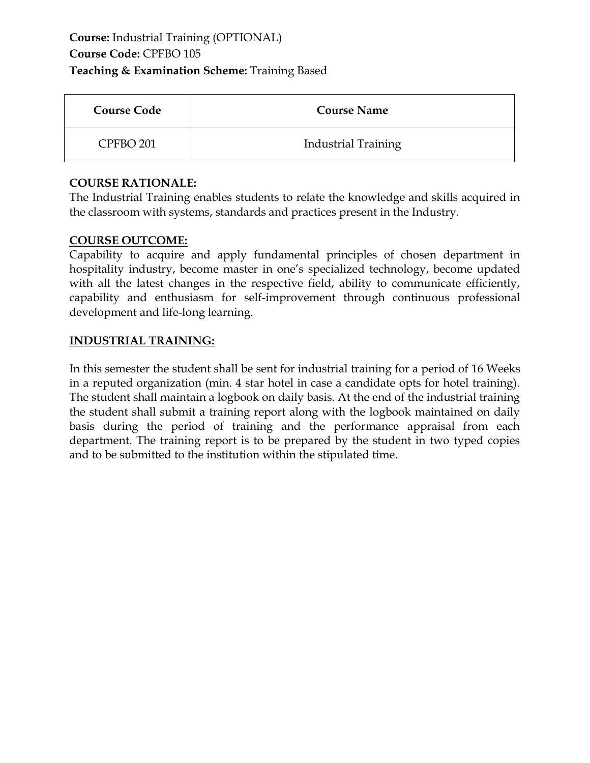# **Course:** Industrial Training (OPTIONAL) **Course Code:** CPFBO 105 **Teaching & Examination Scheme:** Training Based

| <b>Course Code</b>   | <b>Course Name</b>         |
|----------------------|----------------------------|
| CPFBO <sub>201</sub> | <b>Industrial Training</b> |

## **COURSE RATIONALE:**

The Industrial Training enables students to relate the knowledge and skills acquired in the classroom with systems, standards and practices present in the Industry.

#### **COURSE OUTCOME:**

Capability to acquire and apply fundamental principles of chosen department in hospitality industry, become master in one's specialized technology, become updated with all the latest changes in the respective field, ability to communicate efficiently, capability and enthusiasm for self-improvement through continuous professional development and life-long learning.

#### **INDUSTRIAL TRAINING:**

In this semester the student shall be sent for industrial training for a period of 16 Weeks in a reputed organization (min. 4 star hotel in case a candidate opts for hotel training). The student shall maintain a logbook on daily basis. At the end of the industrial training the student shall submit a training report along with the logbook maintained on daily basis during the period of training and the performance appraisal from each department. The training report is to be prepared by the student in two typed copies and to be submitted to the institution within the stipulated time.